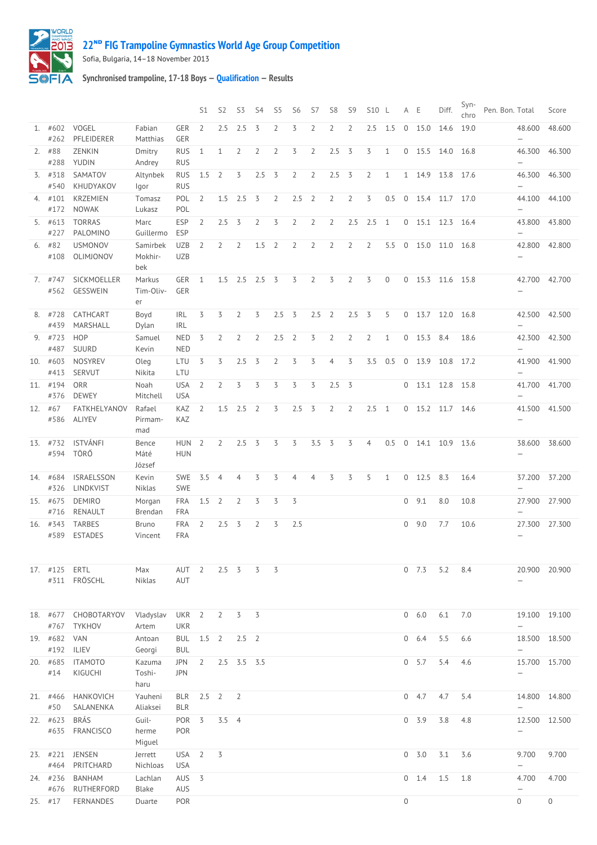## **22ᴺᴰ [FIG Trampoline Gymnastics World Age Group Competition](http://192.168.1.7:9001/event)**



Sofia, Bulgaria, 14–18 November 2013

## **Synchronised trampoline, 17-18 Boys — [Qualification](http://192.168.1.7:9001/stage/14) — Results**

|     |                   |                                 |                            |                                | S <sub>1</sub> | S <sub>2</sub> | S3                | S4             | S5             | S6             | S7             | S <sub>8</sub> | S <sub>9</sub> | S10 L          |              | A E          |           | Diff. | Syn-<br>chro | Pen. Bon. Total |                                           | Score    |
|-----|-------------------|---------------------------------|----------------------------|--------------------------------|----------------|----------------|-------------------|----------------|----------------|----------------|----------------|----------------|----------------|----------------|--------------|--------------|-----------|-------|--------------|-----------------|-------------------------------------------|----------|
|     | 1. #602<br>#262   | VOGEL<br>PFLEIDERER             | Fabian<br>Matthias         | <b>GER</b><br>GER              | $\overline{2}$ | 2.5            | 2.5               | 3              | $\overline{2}$ | 3              | $\overline{2}$ | $\overline{2}$ | $\overline{2}$ | 2.5            | 1.5          | $\mathbf 0$  | 15.0      | 14.6  | 19.0         |                 | 48.600<br>$\qquad \qquad -$               | 48.600   |
|     | $2.$ #88          | ZENKIN                          | Dmitry                     | <b>RUS</b>                     | $\mathbf{1}$   | $\mathbf{1}$   | $\overline{2}$    | $\overline{2}$ | $\overline{2}$ | 3              | $\overline{2}$ | 2.5            | $\overline{3}$ | 3              | $\mathbf{1}$ | 0            | 15.5      | 14.0  | 16.8         |                 | 46.300                                    | 46.300   |
|     | #288<br>3. #318   | YUDIN<br>SAMATOV                | Andrey<br>Altynbek         | <b>RUS</b><br><b>RUS</b>       | 1.5            | $\overline{2}$ | 3                 | 2.5            | 3              | $\overline{2}$ | $\overline{2}$ | 2.5            | $\overline{3}$ | 2              | $\mathbf 1$  | 1            | 14.9      | 13.8  | 17.6         |                 | $\overline{\phantom{0}}$<br>46.300        | 46.300   |
|     | #540<br>4. #101   | KHUDYAKOV<br><b>KRZEMIEN</b>    | lgor<br>Tomasz             | <b>RUS</b><br>POL              | $\overline{2}$ | 1.5            | 2.5               | 3              | $\overline{2}$ | 2.5            | $\overline{2}$ | $\overline{2}$ | $\overline{2}$ | 3              | 0.5          | $\mathbf 0$  | 15.4      | 11.7  | 17.0         |                 | $\overline{\phantom{0}}$<br>44.100        | 44.100   |
|     | #172              | <b>NOWAK</b>                    | Lukasz                     | POL                            |                |                |                   |                |                |                |                |                |                |                |              |              |           |       |              |                 | $\overline{\phantom{0}}$                  |          |
|     | 5. #613<br>#227   | <b>TORRAS</b><br>PALOMINO       | Marc<br>Guillermo          | <b>ESP</b><br>ESP              | 2              | 2.5            | 3                 | $\overline{2}$ | 3              | $\overline{2}$ | $\overline{2}$ | $\overline{2}$ | 2.5            | 2.5            | 1            | $\mathbf 0$  | 15.1      | 12.3  | 16.4         |                 | 43.800<br>$\qquad \qquad -$               | 43.800   |
|     | $6.$ #82<br>#108  | <b>USMONOV</b><br>OLIMJONOV     | Samirbek<br>Mokhir-<br>bek | <b>UZB</b><br><b>UZB</b>       | 2              | $\overline{2}$ | 2                 | 1.5            | $\overline{2}$ | $\overline{2}$ | $\overline{2}$ | $\overline{2}$ | $\overline{2}$ | $\overline{2}$ | 5.5          | $\mathbf{0}$ | 15.0      | 11.0  | 16.8         |                 | 42.800<br>$\overline{\phantom{0}}$        | 42.800   |
|     | $7.$ #747<br>#562 | SICKMOELLER<br>GESSWEIN         | Markus<br>Tim-Oliv-<br>er  | GER<br>GER                     | $\mathbf{1}$   |                | 1.5 2.5 2.5 3     |                |                | 3              | $\overline{2}$ | 3              | $\overline{2}$ | 3              | 0            | 0            | 15.3      | 11.6  | 15.8         |                 | 42.700<br>$\qquad \qquad -$               | 42.700   |
|     | 8. #728<br>#439   | CATHCART<br>MARSHALL            | Boyd<br>Dylan              | <b>IRL</b><br><b>IRL</b>       | 3              | 3              | $\overline{2}$    | 3              | 2.5            | 3              | 2.5            | $\overline{2}$ | 2.5            | 3              | 5            | 0            | 13.7      | 12.0  | 16.8         |                 | 42.500<br>$\overline{\phantom{0}}$        | 42.500   |
|     | 9. #723<br>#487   | <b>HOP</b><br>SUURD             | Samuel<br>Kevin            | <b>NED</b><br><b>NED</b>       | 3              | $\overline{2}$ | $\overline{2}$    | $\overline{2}$ | 2.5            | $\overline{2}$ | 3              | $\overline{2}$ | $\overline{2}$ | $\overline{2}$ | $\mathbf{1}$ | 0            | 15.3      | 8.4   | 18.6         |                 | 42.300<br>$\overline{\phantom{0}}$        | 42.300   |
|     | 10. #603<br>#413  | <b>NOSYREV</b><br>SERVUT        | Oleg<br>Nikita             | LTU<br>LTU                     | 3              | 3              | 2.5               | 3              | $\overline{2}$ | 3              | 3              | $\overline{4}$ | 3              | 3.5            | 0.5          | $\mathbf 0$  | 13.9      | 10.8  | 17.2         |                 | 41.900<br>$\overline{\phantom{0}}$        | 41.900   |
|     | 11. #194<br>#376  | ORR<br><b>DEWEY</b>             | Noah<br>Mitchell           | <b>USA</b><br><b>USA</b>       | $\overline{2}$ | $\overline{2}$ | 3                 | 3              | 3              | 3              | 3              | 2.5            | $\overline{3}$ |                |              | $\mathbf{0}$ | 13.1      | 12.8  | 15.8         |                 | 41.700<br>$\qquad \qquad -$               | 41.700   |
|     | 12. #67<br>#586   | FATKHELYANOV<br><b>ALIYEV</b>   | Rafael<br>Pirmam-<br>mad   | KAZ<br>KAZ                     | $\overline{2}$ | 1.5            | 2.5               | $\overline{2}$ | 3              | 2.5            | $\overline{3}$ | $\overline{2}$ | $\overline{2}$ | 2.5            | 1            | $\mathbf{0}$ | 15.2      | 11.7  | 14.6         |                 | 41.500                                    | 41.500   |
| 13. | #732<br>#594      | <b>ISTVÁNFI</b><br>TÖRŐ         | Bence<br>Máté<br>József    | <b>HUN</b><br><b>HUN</b>       | $\overline{2}$ | $\overline{2}$ | 2.5               | 3              | 3              | $\overline{3}$ | 3.5            | 3              | 3              | $\overline{4}$ | 0.5          | $\mathbb O$  | 14.1 10.9 |       | 13.6         |                 | 38.600<br>$\overline{\phantom{0}}$        | 38.600   |
| 14. | #684<br>#326      | <b>ISRAELSSON</b><br>LINDKVIST  | Kevin<br>Niklas            | <b>SWE</b><br><b>SWE</b>       | 3.5            | $\overline{4}$ | 4                 | 3              | 3              | 4              | 4              | 3              | 3              | 5              | $\mathbf{1}$ | 0            | 12.5      | 8.3   | 16.4         |                 | 37.200<br>$\overline{\phantom{0}}$        | 37.200   |
|     | 15. #675<br>#716  | <b>DEMIRO</b><br>RENAULT        | Morgan<br>Brendan          | FRA<br><b>FRA</b>              | 1.5            | $\overline{2}$ | $\overline{2}$    | 3              | 3              | $\overline{3}$ |                |                |                |                |              | $\mathbf{0}$ | 9.1       | 8.0   | 10.8         |                 | 27.900<br>$\overline{\phantom{0}}$        | 27.900   |
|     | 16. #343<br>#589  | <b>TARBES</b><br><b>ESTADES</b> | Bruno<br>Vincent           | FRA<br><b>FRA</b>              | $\overline{2}$ | 2.5            | $\overline{3}$    | $\overline{2}$ | 3              | 2.5            |                |                |                |                |              | 0            | 9.0       | 7.7   | 10.6         |                 | 27.300<br>$\overline{\phantom{0}}$        | 27.300   |
|     | 17. #125          | ERTL<br>#311 FRÖSCHL            | Max<br><b>Niklas</b>       | AUT<br>AUT                     | $\overline{2}$ | $2.5 \quad 3$  |                   | 3              | 3              |                |                |                |                |                |              | 0            | 7.3       | 5.2   | 8.4          |                 | 20.900                                    | 20.900   |
|     | 18. #677<br>#767  | CHOBOTARYOV<br><b>TYKHOV</b>    | Vladyslav<br>Artem         | UKR <sub>2</sub><br><b>UKR</b> |                | $\overline{2}$ | 3                 | 3              |                |                |                |                |                |                |              |              | 0 6.0     | 6.1   | 7.0          |                 | 19.100 19.100<br>$\overline{\phantom{m}}$ |          |
|     | 19. #682<br>#192  | <b>VAN</b><br>ILIEV             | Antoan<br>Georgi           | <b>BUL</b><br><b>BUL</b>       | $1.5$ 2        |                | $2.5$ 2           |                |                |                |                |                |                |                |              | $\mathbf 0$  | 6.4       | 5.5   | 6.6          |                 | 18.500<br>$\qquad \qquad -$               | 18.500   |
|     | 20. #685<br>#14   | <b>ITAMOTO</b><br>KIGUCHI       | Kazuma<br>Toshi-<br>haru   | <b>JPN</b><br><b>JPN</b>       | $\overline{2}$ |                | $2.5$ $3.5$ $3.5$ |                |                |                |                |                |                |                |              |              | 0 5.7     | 5.4   | 4.6          |                 | 15.700 15.700<br>$\qquad \qquad -$        |          |
|     | 21. #466<br>#50   | HANKOVICH<br>SALANENKA          | Yauheni<br>Aliaksei        | <b>BLR</b><br><b>BLR</b>       | 2.5            | $\overline{2}$ | 2                 |                |                |                |                |                |                |                |              | 0            | 4.7       | 4.7   | 5.4          |                 | 14.800<br>$\qquad \qquad -$               | 14.800   |
|     | 22. #623<br>#635  | <b>BRÁS</b><br><b>FRANCISCO</b> | Guil-<br>herme<br>Miguel   | POR<br>POR                     | $\overline{3}$ | $3.5$ 4        |                   |                |                |                |                |                |                |                |              | $\mathbf 0$  | 3.9       | 3.8   | 4.8          |                 | 12.500<br>$\qquad \qquad -$               | 12.500   |
|     | 23. #221<br>#464  | <b>JENSEN</b><br>PRITCHARD      | Jerrett<br>Nichloas        | USA <sub>2</sub><br><b>USA</b> |                | 3              |                   |                |                |                |                |                |                |                |              |              | 0 3.0     | 3.1   | 3.6          |                 | 9.700<br>$\overline{\phantom{0}}$         | 9.700    |
|     | 24. #236<br>#676  | BANHAM<br>RUTHERFORD            | Lachlan<br>Blake           | AUS<br>AUS                     | $\overline{3}$ |                |                   |                |                |                |                |                |                |                |              | 0            | 1.4       | 1.5   | 1.8          |                 | 4.700<br>$\overline{\phantom{0}}$         | 4.700    |
|     | $25.$ #17         | FERNANDES                       | Duarte                     | POR                            |                |                |                   |                |                |                |                |                |                |                |              | $\Omega$     |           |       |              |                 | $\Omega$                                  | $\Omega$ |